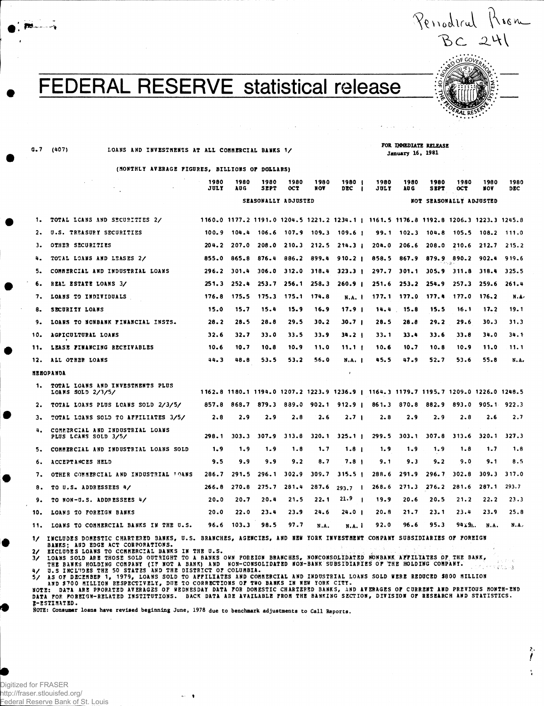**N x o^l f < A. — •** BC 241 *<u>COVER</u>* 

ì

**•fMl** 

## FEDERAL RESERVE statistical release

**G.7 (407) LOANS AND INVESTMENTS AT ALL COMMERCIAL BANKS 1/**

**FOR IMMEDIATE RELEASE January 16, 1981**

**(MONTHLY AVERAGE FIGURES, BILLIONS OF DOLLARS)**

|                  | $\sim$<br>$\mathcal{L}^{(1,2)}$                                                                                               | 1980<br>JULY        | 1980<br>AU G | 1980<br><b>SEPT</b> | 1980<br><b>OCT</b>      | 1980<br>NOA | 1980  <br>DEC.<br>- 1                                                                 | 1980<br>JULY | 1980<br>AU G      | 1980<br><b>SBPT</b>     | 1980<br>OCT                        | 1980<br>NOV | 1980<br>DEC |  |  |  |  |  |  |
|------------------|-------------------------------------------------------------------------------------------------------------------------------|---------------------|--------------|---------------------|-------------------------|-------------|---------------------------------------------------------------------------------------|--------------|-------------------|-------------------------|------------------------------------|-------------|-------------|--|--|--|--|--|--|
|                  |                                                                                                                               | SEASONALLY ADJUSTED |              |                     |                         |             |                                                                                       |              |                   | NOT SEASONALLY ADJUSTED |                                    |             |             |  |  |  |  |  |  |
| л.               | TOTAL LCANS AND SECURITIES 2/                                                                                                 |                     |              |                     |                         |             | 1160.0 1177.2 1191.0 1204.5 1221.2 1234.1   1161.5 1176.8 1192.8 1206.3 1223.3 1245.8 |              |                   |                         |                                    |             |             |  |  |  |  |  |  |
| 2.               | U.S. TREASURY SECURITIES                                                                                                      |                     |              |                     |                         |             | 100.9 104.4 106.6 107.9 109.3 109.6 1                                                 |              |                   |                         | 99.1 102.3 104.8 105.5 108.2 111.0 |             |             |  |  |  |  |  |  |
| з.               | OTHER SECURITIES                                                                                                              | 204.2               | 207.0        | 208.0               |                         |             | $210.3$ $212.5$ $214.3$ $1$                                                           |              |                   |                         | 204.0 206.6 208.0 210.6 212.7      |             | 215.2       |  |  |  |  |  |  |
| 4.               | TOTAL LOANS AND LEASES 2/                                                                                                     | 855.0               | 865.8        | 876.4               |                         |             | $886.2$ $899.4$ $910.2$                                                               |              | 858.5 867.9       |                         | 879.9 890.2 902.4                  |             | 919.6       |  |  |  |  |  |  |
| 5.               | COMMERCIAL AND INDUSTRIAL LOANS                                                                                               | 296.2               | 301.4        |                     | $306.0$ $312.0$ $318.4$ |             | 323.3 <sub>1</sub>                                                                    |              | 297.7 301.1       |                         | 305.9 311.8 318.4                  |             | 325.5       |  |  |  |  |  |  |
| 6.               | REAL ESTATE LOANS 3/                                                                                                          | 251.3               | 252.4        | 253.7               | 256.1                   | 258.3       | 260.9 <sub>1</sub>                                                                    | 251.6        | 253.2             |                         | $254.9$ $257.3$                    | 259.6       | 261.4       |  |  |  |  |  |  |
| 7.               | LOANS TO INDIVIDUALS                                                                                                          | 176.8               | 175.5        |                     | 175.3 175.1 174.8       |             | <b>N.A. 1</b>                                                                         |              | $177.1$ $177.0$   | 177.4                   | 177.0                              | - 176, 2    | N.A.        |  |  |  |  |  |  |
| 8.               | SECURITY LOANS                                                                                                                | 15.0                | 15.7         | 15.4                | 15.9                    | 16.9        | 17.9 <sub>1</sub>                                                                     | 14.4         | - 15.8            | 15.5                    | 16.1                               | $17 - 2$    | 19.1        |  |  |  |  |  |  |
| 9.               | LOANS TO NONBANK FINANCIAL INSTS.                                                                                             | 28.2                | 28.5         | 28.8                | 29.5                    | 30.2        | 30.7 <sub>1</sub>                                                                     | 28.5         | 28.8              | 29.2                    | 29.6                               | 30.3        | 31.3        |  |  |  |  |  |  |
| 10.              | AGPICULTURAL LOANS                                                                                                            | 32.6                | 32.7         | 33.0                | 33.5                    | 33.9        | 34.2 <sub>1</sub>                                                                     | 33.1         | 33.4              | 33.6                    | 33.8                               | 34.0        | 34.1        |  |  |  |  |  |  |
| 11.              | LEASE FINANCING RECEIVABLES                                                                                                   | 10.6                | 10.7         | 10.8                | 10.9                    | 11.0        | 11.1 <sub>1</sub>                                                                     | 10.6         | 10.7              | 10.8                    | 10.9                               | 11.0        | 11.1        |  |  |  |  |  |  |
|                  | 12. ALL OTHER LOANS                                                                                                           | 44.3                | 48.8         | 53.5                | 53.2                    | 56.0        | N.A. I                                                                                | 45.5         | 47.9              | 52.7                    | 53.6                               | 55.8        | N.A.        |  |  |  |  |  |  |
| <b>MEHOPANDA</b> |                                                                                                                               |                     |              |                     |                         |             | $\mathbf{r}$                                                                          |              |                   |                         |                                    |             |             |  |  |  |  |  |  |
| 1.               | TOTAL LOANS AND INVESTMENTS PLUS<br>LOANS SOLD 2/3/5/                                                                         |                     |              |                     |                         |             | 1162.8 1180.1 1194.0 1207.2 1223.9 1236.9   1164.3 1179.7 1195.7 1209.0 1226.0 1248.5 |              |                   |                         |                                    |             |             |  |  |  |  |  |  |
| 2.               | TOTAL LOANS PLUS LOANS SOLD 2/3/5/                                                                                            | 857.8               | 868.7        |                     |                         |             | $879.3$ $839.0$ $902.1$ $912.9$ i                                                     |              | 861.3 870.8 882.9 |                         | 893.0 905.1                        |             | 922.3       |  |  |  |  |  |  |
| з.               | TOTAL LOANS SOLD TO AFFILIATES 3/5/                                                                                           | 2.8                 | 2.9          | 2.9                 | 2.8                     | 2.6         | 2.7 <sub>1</sub>                                                                      | $2 - 8$      | 2.9               | 2.9                     | 2.8                                | 2.6         | 2.7         |  |  |  |  |  |  |
| 4.               | COMMERCIAL AND INDUSTRIAL LOANS<br><b>PLUS LCANS SOLD 3/5/</b>                                                                | 298.1               | 303.3        | 307.9               | 313.8                   |             | $320.1$ $325.1$ $\mu$                                                                 | 299.5        |                   | $303.1$ $307.8$ $313.6$ |                                    | 320.1       | 327.3       |  |  |  |  |  |  |
| 5.               | COMMERCIAL AND INDUSTRIAL LOANS SOLD                                                                                          | 1.9                 | 1.9          | 1.9                 | 1.8                     | 1.7         | 1.8 <sub>1</sub>                                                                      | 1.9          | 1.9               | 1.9                     | 1.8                                | 1.7         | 1.8         |  |  |  |  |  |  |
| 6.               | ACCEPTANCES HELD                                                                                                              | 9.5                 | 9.9          | 9.9                 | 9.2                     | 8.7         | 7.8 1                                                                                 | 9.1          | 9.3               | $9 - 2$                 | 9.0                                | 9.1         | 8.5         |  |  |  |  |  |  |
| 7.               | OTHER COMMERCIAL AND INDUSTRIAL TOANS                                                                                         | 286.7               | 291.5        | 296.1               | 302.9                   | 309.7       | 315.5 <sub>1</sub>                                                                    | 288.6        | 291.9             | 296.7                   | $302 - 8$                          | 309.3       | 317.0       |  |  |  |  |  |  |
| 8.               | TO U.S. ADDRESSEES 4/                                                                                                         | 266.8               | 270.8        | 275.7               | 281.4                   | 287.6       | $293.7 \quad \Box$                                                                    | 268.6        | 271.3             | 276.2                   | 281.6                              | 287.1       | 293.7       |  |  |  |  |  |  |
| 9.               | TO NON-U.S. ADDRESSEES 4/                                                                                                     | $20-0$              | 20.7         | 20.4                | 21.5                    | 22.1        | 21.9<br>- 1                                                                           | .19.9        | 20.6              | 20.5                    | 21.2                               | 22.2        | 23.3        |  |  |  |  |  |  |
| 10.              | LOANS TO FOREIGN BANKS                                                                                                        | 20.0                | 22.0         | 23.4                | 23.9                    | 24.6        | 24.0 <sub>1</sub>                                                                     | 20.8         | 21.7              | 23.1                    | 23.4                               | 23.9        | 25.8        |  |  |  |  |  |  |
| 11.              | LOANS TO COMMERCIAL BANKS IN THE U.S.                                                                                         | 96.6                | 103.3        | 98.5                | 97.7                    | N.A.        | <b>N.A. 1</b>                                                                         | 92.0         | 96.6              | 95.3                    | 94x9A.                             | N.A.        | N.A.        |  |  |  |  |  |  |
| $\mathcal{L}$    | INCLUDES DOMESTIC CHARTERED BANKS, U.S. BRANCHES, AGENCIES, AND HEW YORK INVESTMENT COMPANY SUBSIDIARIES OF FOREIGN<br>$\sim$ |                     |              |                     |                         |             |                                                                                       |              |                   |                         |                                    |             |             |  |  |  |  |  |  |

BANKS; AND EDGE ACT CORPORATIONS.<br>2/ EXCLUDES LOANS TO CCHRERCIAL BANKS IN THE U.S.<br>3/ LOANS SOLD ARE THOSE SOLD OUTRIGHT TO A BANKS OWN POREIGN BRANCHES, NONCONSOLIDATED NONBANK AFFILIATES OF THE BANK,<br>THE BANKS HOLDING C **^-ESTIMATED.** 

**ftOTE: Consumer loans have revised beginning June, 1978 due to benchmark adjustments to Call Reports.**

 $\bullet$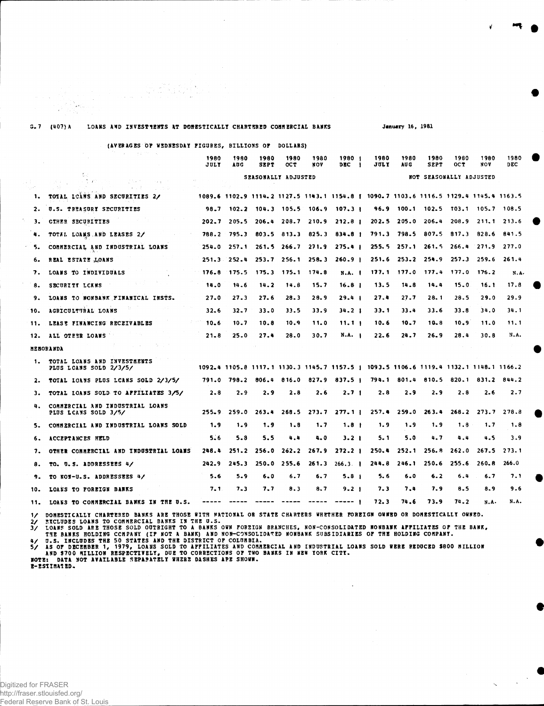| s. 1 | (407) A<br>LOANS AND INVESTMENTS AT DOMESTICALLY CHARTERED COMMERCIAL BANKS |              |                 |                     |                   |                         |                                                                                       | <b>January 16, 1981</b> |                 |                                    |              |                 |             |  |  |
|------|-----------------------------------------------------------------------------|--------------|-----------------|---------------------|-------------------|-------------------------|---------------------------------------------------------------------------------------|-------------------------|-----------------|------------------------------------|--------------|-----------------|-------------|--|--|
|      | (AVERAGES OF WEDNESDAY FIGURES, BILLIONS OF                                 |              |                 |                     | <b>DOLLARSY</b>   |                         |                                                                                       |                         |                 |                                    |              |                 |             |  |  |
|      | and a graphical                                                             | 1980<br>JULY | 1980<br>AUG     | 1980<br>SEPT        | 1980<br>OC T      | 1980<br>NOV             | 1980  <br>DEC                                                                         | 1980<br>JUL Y           | 1980<br>AU G    | 1980<br><b>SEPT</b>                | 1980<br>OC T | 1980<br>NOV     | 1980<br>DEC |  |  |
|      | 一型学<br>空気のた<br>ana.<br>2012/07/02                                           |              |                 | SEASONALLY ADJUSTED |                   |                         |                                                                                       |                         |                 | NOT SEASONALLY ADJUSTED            |              |                 |             |  |  |
| 1.   | TOTAL LOANS AND SECURITIES 2/                                               |              |                 |                     |                   |                         | 1089.6 1102.9 1114.2 1127.5 1143.1 1154.8   1090.7 1103.6 1116.5 1129.4 1145.4 1163.5 |                         |                 |                                    |              |                 |             |  |  |
| 2.   | U.S. TREASURY SECURITIES                                                    |              |                 |                     |                   |                         | 98.7 102.2 104.3 105.5 106.9 107.3                                                    |                         |                 | 96.9 100.1 102.5 103.1 105.7 108.5 |              |                 |             |  |  |
| з.   | CIHER SECURITIES                                                            | 202.7        | 205.5           | 206.4 208.7 210.9   |                   |                         | 212.8 <sub>1</sub>                                                                    |                         | $202.5$ 205.0   | $206 - 4$                          | 208.9        | 211.1 213.6     |             |  |  |
| 4.   | TOTAL LOANS AND LEASES 2/                                                   | 788.2        | $-795.3$        |                     | $803.5$ $813.3$   | 825.3                   | 834.8 <sub>1</sub>                                                                    |                         | $791.3$ $798.5$ | 807.5                              | 817.3        | 828.6           | 841.5       |  |  |
| 5.   | COMMERCIAL AND INDUSTRIAL LOANS                                             | 254.0        | 257.1           |                     | $261.5$ $266.7$   | 271.9                   | $275.4 +$                                                                             |                         | $255.5$ $257.1$ | 261.5                              | 266.4        | 271.9           | 277.0       |  |  |
| 6.   | REAL ESTATE LOANS                                                           |              | $251.3$ $252.4$ |                     |                   | $253.7$ $256.1$ $258.3$ | 260.9 <sub>1</sub>                                                                    |                         |                 | $251.6$ $253.2$ $254.9$            |              | $257.3$ $259.6$ | 261.4       |  |  |
| 7.   | LOANS TO INDIVIDUALS                                                        | 176.8        | 175.5           |                     | 175.3 175.1 174.8 |                         | <b>N.A.</b> 1                                                                         |                         | $177.1$ $177.0$ | 177.4                              | 177.0        | 176.2           | N.A.        |  |  |
| 8.   | SECURITY LCANS                                                              | 14.0         | 14.6            | 14.2                | 14.8              | 15.7                    | 16.8 <sub>1</sub>                                                                     | 13.5                    | 14.8            | 14.4                               | 15.0         | 16.1            | 17.8        |  |  |
| 9.   | LOANS TO NONBANK FINANICAL INSTS.                                           | 27.0         | 27.3            | 27.6                | 28.3              | 28.9                    | 29.41                                                                                 | 27.4                    | 27.7            | 28.1                               | 28.5         | 29.0            | 29.9        |  |  |
| 10.  | AGRICULTURAL LOANS                                                          | 32.6         | 32.7            | 33.0                | 33.5              | 33.9                    | $34 - 2$ 1                                                                            | 33.1                    | 33.4            | 33.6                               | 33.8         | 34.0            | 34.1        |  |  |
| 11.  | LEASE FINANCING RECEIVABLES                                                 | $10 - 6$     | 10.7            | 10.8                | 10.9              | 11.0                    | 11.11                                                                                 | 10.6                    | 10.7            | $10 - 8$                           | 10.9         | 11.0            | 11.1        |  |  |
| 12.  | ALL OTEER LOANS                                                             | $21 - 8$     | 25.0            | 27.4                | 28.0              | 30.7                    | N.A. 1                                                                                | 22.6                    | 24.7            | 26.9                               | 28.4         | 30.8            | N.A.        |  |  |
|      | MEBORANDA                                                                   |              |                 | $\sim$              |                   |                         |                                                                                       |                         |                 |                                    |              |                 |             |  |  |
| 1.   | TOTAL LOANS AND INVESTHENTS<br>PLUS LCANS SOLD 2/3/5/                       |              |                 |                     |                   |                         | 1092.4 1105.8 1117.1 1130.3 1145.7 1157.5   1093.5 1106.6 1119.4 1132.1 1148.1 1166.2 |                         |                 |                                    |              |                 |             |  |  |
| 2.   | TOTAL LOANS PLOS LCANS SOLD 2/3/5/                                          | 791.0        | 798.2           | 806.4               | 816.0             |                         | $827.9$ $837.5$ $\uparrow$                                                            |                         | 794.1 801.4     | 810.5                              | 820.1        | 831.2           | 844.2       |  |  |
| з.   | TOTAL LOANS SOLD TO AFFILIATES 3/5/                                         | 2.8          | 2.9             | 2.9                 | 2.8               | 2.6                     | 2.7 <sub>1</sub>                                                                      | 2.8                     | 2.9             | 2.9                                | 2.8          | $2 - 6$         | 2.7         |  |  |
| 4.   | COMMERCIAL AND INDUSTRIAL LOANS<br><b>PLUS LCANS SOLD 3/5/</b>              | 255.9        | 259.0           | 263.4               | 268.5             |                         | 273.7277.11                                                                           | 257.4                   | 259.0           | 263.4                              | 268.2        | 273.7           | 278.8       |  |  |
| 5.   | COMMERCIAL AND INDUSTRIAL LOANS SOLD                                        | 1.9          | 1.9             | 1.9                 | 1.8               | 1.7                     | 1.8 <sub>†</sub>                                                                      | 1.9                     | 1.9             | 1.9                                | 1.8          | 1.7             | 1.8         |  |  |
| 6.   | ACCEPTANCES HELD                                                            | $5 - 6$      | 5.8             | 5.5                 | 4.4               | 4.0                     | $3 - 21$                                                                              | 5. 1                    | 5.0             | 4.7                                | 4.4          | 4.5             | 3.9         |  |  |
| 7.   | OTHER COMMERCIAL AND INDUSTRIAL LOANS                                       | 248.4        | 251.2           | 256.0               | 262.2             | 267.9                   | 272.2 l                                                                               | 250.4                   | 252.1           | 256.B                              | 262.0        | 267.S           | 273.1       |  |  |
| 8.   | TO. U.S. ADDRESSEES 4/                                                      | 242.9        | 245.3           | 250.0               | 255.6             | 261.3                   | 266.3.1                                                                               | 244.8                   | 246.1           | 250.6                              | 255.6        | 260.8           | 266.0       |  |  |
| 9.   | TO ROW-U.S. ADDRESSEES 4/                                                   | 5.6          | 5.9             | 6.0                 | 6.7               | 6.7                     | $5 - 8$ 1                                                                             | 5.6                     | 6.0             | 6.2                                | 6.4          | 6.7             | 7.1         |  |  |
| 10.  | LOANS TO FOREIGN BANKS                                                      | 7. 1         | $7 - 3$         | 7.7                 | 8.3               | 8.7                     | $9 - 21$                                                                              | 7.3                     | 7.4             | 7.9                                | 8.5          | 8.9             | 9.6         |  |  |
| 11.  | LOANS TO COMMERCIAL BANKS IN THE U.S.                                       | -----        | $- - - - -$     |                     | $\cdots$          | $\cdots\cdots\cdots$    | $-----$                                                                               | 72.3                    | 74.6            | 73.9                               | 74.2         | N.A.            | N.A.        |  |  |
|      |                                                                             |              |                 |                     |                   |                         |                                                                                       |                         |                 |                                    |              |                 |             |  |  |

Q) 조일

**V** *"%* **ft**

1/ DOMESTICALLY CHARTERED BANKS ARE THOSE WITH MATIONAL OR STATE CHARTERS WHETHER FOREIGN OWNED OR DOMESTICALLY OWNED.<br>2/ EXCLUDES LOAMS TO COMMERCIAL BANKS IN THE U.S.<br>3/ LOAMS SOLD ARE THOSE SOLD OUTRIGHT TO A BANKS OWN